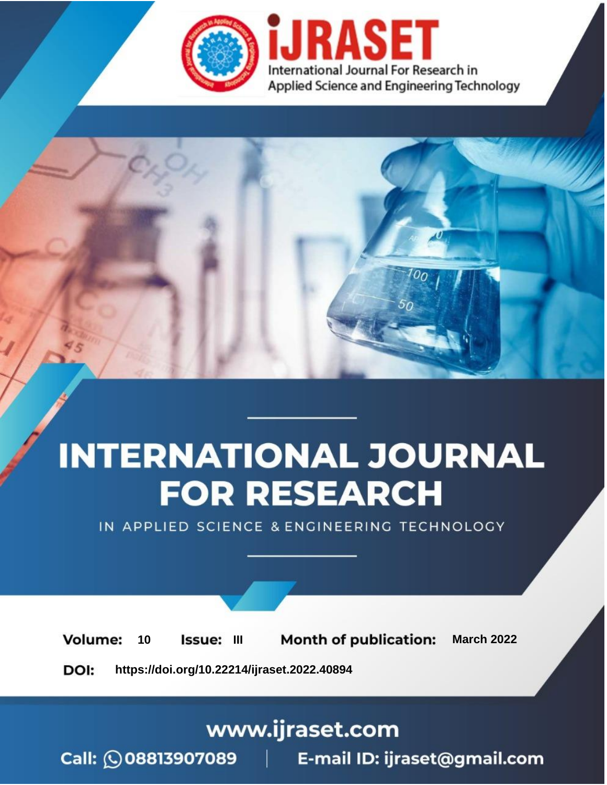

# **INTERNATIONAL JOURNAL FOR RESEARCH**

IN APPLIED SCIENCE & ENGINEERING TECHNOLOGY

**Month of publication: Volume:** 10 Issue: III **March 2022** DOI: https://doi.org/10.22214/ijraset.2022.40894

www.ijraset.com

Call: 008813907089 | E-mail ID: ijraset@gmail.com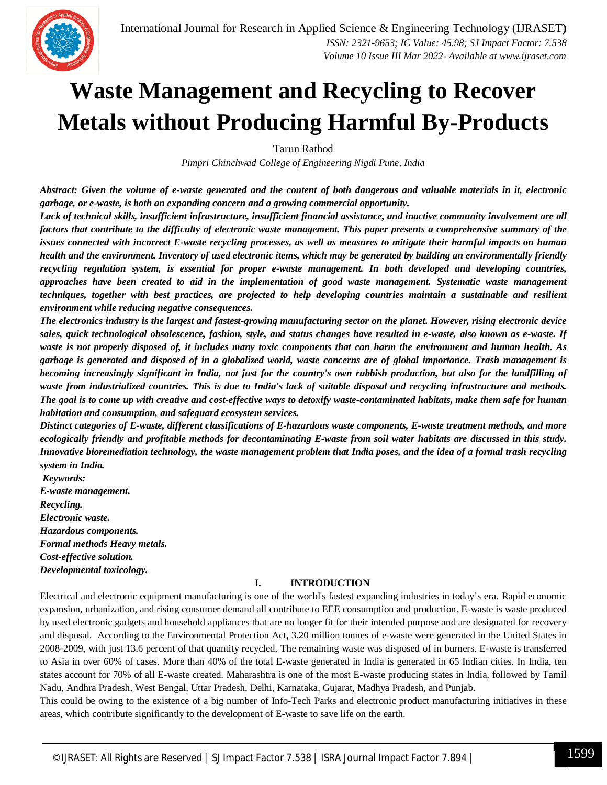

### **Waste Management and Recycling to Recover Metals without Producing Harmful By-Products**

Tarun Rathod

*Pimpri Chinchwad College of Engineering Nigdi Pune, India*

*Abstract: Given the volume of e-waste generated and the content of both dangerous and valuable materials in it, electronic garbage, or e-waste, is both an expanding concern and a growing commercial opportunity.* 

*Lack of technical skills, insufficient infrastructure, insufficient financial assistance, and inactive community involvement are all factors that contribute to the difficulty of electronic waste management. This paper presents a comprehensive summary of the issues connected with incorrect E-waste recycling processes, as well as measures to mitigate their harmful impacts on human health and the environment. Inventory of used electronic items, which may be generated by building an environmentally friendly recycling regulation system, is essential for proper e-waste management. In both developed and developing countries, approaches have been created to aid in the implementation of good waste management. Systematic waste management techniques, together with best practices, are projected to help developing countries maintain a sustainable and resilient environment while reducing negative consequences.* 

*The electronics industry is the largest and fastest-growing manufacturing sector on the planet. However, rising electronic device sales, quick technological obsolescence, fashion, style, and status changes have resulted in e-waste, also known as e-waste. If waste is not properly disposed of, it includes many toxic components that can harm the environment and human health. As garbage is generated and disposed of in a globalized world, waste concerns are of global importance. Trash management is becoming increasingly significant in India, not just for the country's own rubbish production, but also for the landfilling of waste from industrialized countries. This is due to India's lack of suitable disposal and recycling infrastructure and methods. The goal is to come up with creative and cost-effective ways to detoxify waste-contaminated habitats, make them safe for human habitation and consumption, and safeguard ecosystem services.* 

*Distinct categories of E-waste, different classifications of E-hazardous waste components, E-waste treatment methods, and more ecologically friendly and profitable methods for decontaminating E-waste from soil water habitats are discussed in this study. Innovative bioremediation technology, the waste management problem that India poses, and the idea of a formal trash recycling system in India.* 

*Keywords: E-waste management. Recycling. Electronic waste. Hazardous components. Formal methods Heavy metals. Cost-effective solution. Developmental toxicology.* 

#### **I. INTRODUCTION**

Electrical and electronic equipment manufacturing is one of the world's fastest expanding industries in today's era. Rapid economic expansion, urbanization, and rising consumer demand all contribute to EEE consumption and production. E-waste is waste produced by used electronic gadgets and household appliances that are no longer fit for their intended purpose and are designated for recovery and disposal. According to the Environmental Protection Act, 3.20 million tonnes of e-waste were generated in the United States in 2008-2009, with just 13.6 percent of that quantity recycled. The remaining waste was disposed of in burners. E-waste is transferred to Asia in over 60% of cases. More than 40% of the total E-waste generated in India is generated in 65 Indian cities. In India, ten states account for 70% of all E-waste created. Maharashtra is one of the most E-waste producing states in India, followed by Tamil Nadu, Andhra Pradesh, West Bengal, Uttar Pradesh, Delhi, Karnataka, Gujarat, Madhya Pradesh, and Punjab.

This could be owing to the existence of a big number of Info-Tech Parks and electronic product manufacturing initiatives in these areas, which contribute significantly to the development of E-waste to save life on the earth.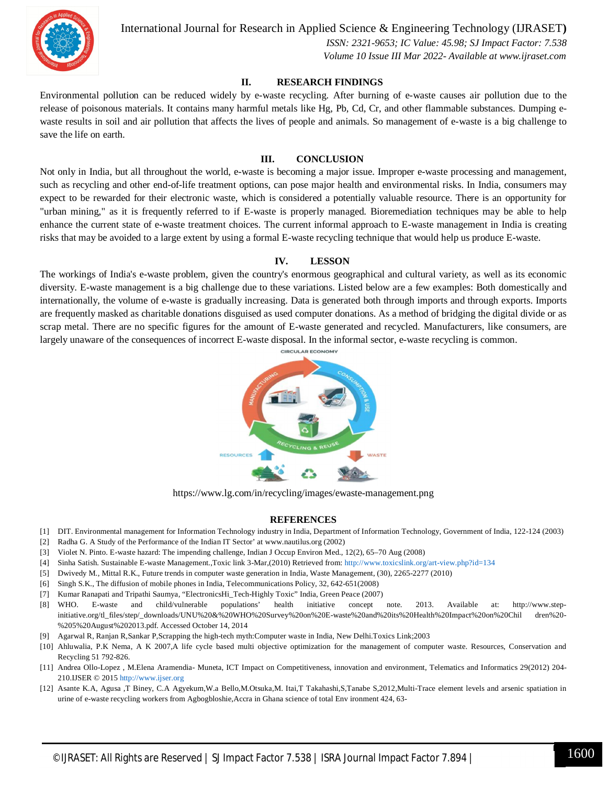

International Journal for Research in Applied Science & Engineering Technology (IJRASET**)**

 *ISSN: 2321-9653; IC Value: 45.98; SJ Impact Factor: 7.538 Volume 10 Issue III Mar 2022- Available at www.ijraset.com*

#### **II. RESEARCH FINDINGS**

Environmental pollution can be reduced widely by e-waste recycling. After burning of e-waste causes air pollution due to the release of poisonous materials. It contains many harmful metals like Hg, Pb, Cd, Cr, and other flammable substances. Dumping ewaste results in soil and air pollution that affects the lives of people and animals. So management of e-waste is a big challenge to save the life on earth.

#### **III. CONCLUSION**

Not only in India, but all throughout the world, e-waste is becoming a major issue. Improper e-waste processing and management, such as recycling and other end-of-life treatment options, can pose major health and environmental risks. In India, consumers may expect to be rewarded for their electronic waste, which is considered a potentially valuable resource. There is an opportunity for "urban mining," as it is frequently referred to if E-waste is properly managed. Bioremediation techniques may be able to help enhance the current state of e-waste treatment choices. The current informal approach to E-waste management in India is creating risks that may be avoided to a large extent by using a formal E-waste recycling technique that would help us produce E-waste.

#### **IV. LESSON**

The workings of India's e-waste problem, given the country's enormous geographical and cultural variety, as well as its economic diversity. E-waste management is a big challenge due to these variations. Listed below are a few examples: Both domestically and internationally, the volume of e-waste is gradually increasing. Data is generated both through imports and through exports. Imports are frequently masked as charitable donations disguised as used computer donations. As a method of bridging the digital divide or as scrap metal. There are no specific figures for the amount of E-waste generated and recycled. Manufacturers, like consumers, are largely unaware of the consequences of incorrect E-waste disposal. In the informal sector, e-waste recycling is common.



https://www.lg.com/in/recycling/images/ewaste-management.png

#### **REFERENCES**

- [1] DIT. Environmental management for Information Technology industry in India, Department of Information Technology, Government of India, 122-124 (2003)
- [2] Radha G. A Study of the Performance of the Indian IT Sector' at www.nautilus.org (2002)
- [3] Violet N. Pinto. E-waste hazard: The impending challenge, Indian J Occup Environ Med., 12(2), 65–70 Aug (2008)
- [4] Sinha Satish. Sustainable E-waste Management.,Toxic link 3-Mar,(2010) Retrieved from: http://www.toxicslink.org/art-view.php?id=134
- [5] Dwivedy M., Mittal R.K., Future trends in computer waste generation in India, Waste Management, (30), 2265-2277 (2010)
- [6] Singh S.K., The diffusion of mobile phones in India, Telecommunications Policy, 32, 642-651(2008)
- [7] Kumar Ranapati and Tripathi Saumya, "ElectronicsHi\_Tech-Highly Toxic" India, Green Peace (2007)
- [8] WHO. E-waste and child/vulnerable populations' health initiative concept note. 2013. Available at: http://www.stepinitiative.org/tl\_files/step/\_downloads/UNU%20&%20WHO%20Survey%20on%20E-waste%20and%20its%20Health%20Impact%20on%20Chil dren%20- %205%20August%202013.pdf. Accessed October 14, 2014
- [9] Agarwal R, Ranjan R,Sankar P,Scrapping the high-tech myth:Computer waste in India, New Delhi.Toxics Link;2003
- [10] Ahluwalia, P.K Nema, A K 2007,A life cycle based multi objective optimization for the management of computer waste. Resources, Conservation and Recycling 51 792-826.
- [11] Andrea Ollo-Lopez , M.Elena Aramendia- Muneta, ICT Impact on Competitiveness, innovation and environment, Telematics and Informatics 29(2012) 204- 210.IJSER © 2015 http://www.ijser.org
- [12] Asante K.A, Agusa ,T Biney, C.A Agyekum,W.a Bello,M.Otsuka,M. Itai,T Takahashi,S,Tanabe S,2012,Multi-Trace element levels and arsenic spatiation in urine of e-waste recycling workers from Agbogbloshie,Accra in Ghana science of total Env ironment 424, 63-